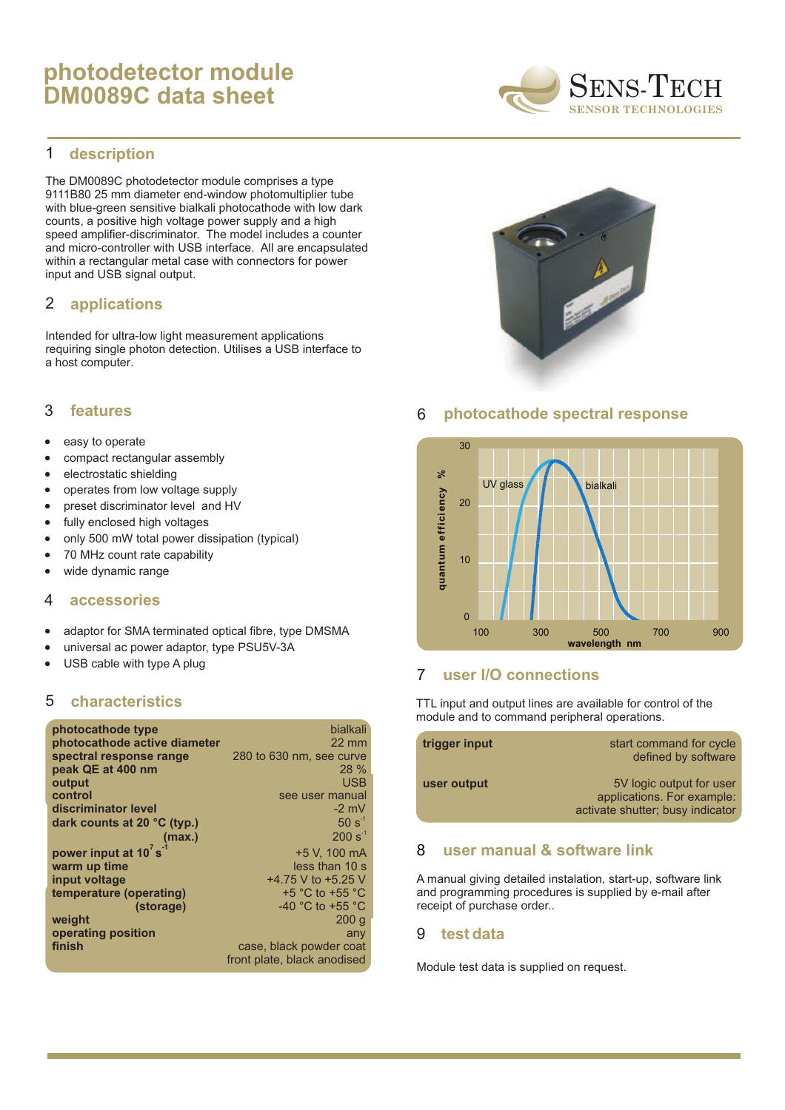# **photodetector module DM0089C data sheet**



#### **description** 1

The DM0089C photodetector module comprises a type 9111B80 25 mm diameter end-window photomultiplier tube with blue-green sensitive bialkali photocathode with low dark counts, a positive high voltage power supply and a high speed amplifier-discriminator. The model includes a counter and micro-controller with USB interface. All are encapsulated within a rectangular metal case with connectors for power input and USB signal output.

#### **applications** 2

Intended for ultra-low light measurement applications requiring single photon detection. Utilises a USB interface to a host computer.

#### **features** 3

- · easy to operate
- · compact rectangular assembly
- · electrostatic shielding
- · operates from low voltage supply
- · preset discriminator level and HV
- · fully enclosed high voltages
- · only 500 mW total power dissipation (typical)
- · 70 MHz count rate capability
- · wide dynamic range

#### **accessories** 4

- · adaptor for SMA terminated optical fibre, type DMSMA
- · universal ac power adaptor, type PSU5V-3A
- · USB cable with type A plug

#### 5 **characteristics**

| photocathode type                | bialkali                             |
|----------------------------------|--------------------------------------|
| photocathode active diameter     | $22 \text{ mm}$                      |
| spectral response range          | 280 to 630 nm, see curve             |
| peak QE at 400 nm                | $28\%$                               |
| output                           | <b>USB</b>                           |
| control                          | see user manual                      |
| discriminator level              | $-2$ mV                              |
| dark counts at 20 °C (typ.)      | $50 s^{-1}$                          |
| (max.)                           | $200 s^{-1}$                         |
| power input at 10's <sup>1</sup> | +5 V. 100 mA                         |
| warm up time                     | less than 10 s                       |
| input voltage                    | $+4.75$ V to $+5.25$ V               |
| temperature (operating)          | $+5$ °C to $+55$ °C                  |
| (storage)                        | -40 $^{\circ}$ C to +55 $^{\circ}$ C |
| weight                           | 200q                                 |
| operating position               | any                                  |
| finish                           | case, black powder coat              |
|                                  | front plate, black anodised          |



### 6 **photocathode spectral response**



### 7 **user I/O connections**

TTL input and output lines are available for control of the module and to command peripheral operations.

| trigger input | start command for cycle<br>defined by software                                             |
|---------------|--------------------------------------------------------------------------------------------|
| user output   | 5V logic output for user<br>applications. For example:<br>activate shutter; busy indicator |

### 8 **user manual & software link**

A manual giving detailed instalation, start-up, software link and programming procedures is supplied by e-mail after receipt of purchase order..

#### **test data** 9

Module test data is supplied on request.